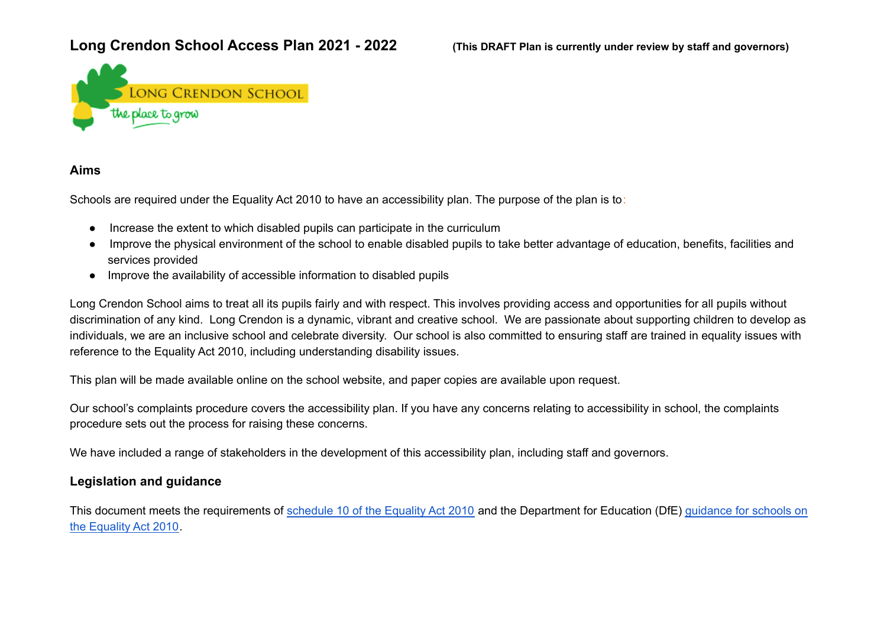## Long Crendon School Access Plan 2021 - 2022 (This DRAFT Plan is currently under review by staff and governors)



### **Aims**

Schools are required under the Equality Act 2010 to have an accessibility plan. The purpose of the plan is to:

- Increase the extent to which disabled pupils can participate in the curriculum
- Improve the physical environment of the school to enable disabled pupils to take better advantage of education, benefits, facilities and services provided
- Improve the availability of accessible information to disabled pupils

Long Crendon School aims to treat all its pupils fairly and with respect. This involves providing access and opportunities for all pupils without discrimination of any kind. Long Crendon is a dynamic, vibrant and creative school. We are passionate about supporting children to develop as individuals, we are an inclusive school and celebrate diversity. Our school is also committed to ensuring staff are trained in equality issues with reference to the Equality Act 2010, including understanding disability issues.

This plan will be made available online on the school website, and paper copies are available upon request.

Our school's complaints procedure covers the accessibility plan. If you have any concerns relating to accessibility in school, the complaints procedure sets out the process for raising these concerns.

We have included a range of stakeholders in the development of this accessibility plan, including staff and governors.

## **Legislation and guidance**

This document meets the requirements of [schedule](http://www.legislation.gov.uk/ukpga/2010/15/schedule/10) 10 of the Equality Act 2010 and the Department for Education (DfE) [guidance](https://www.gov.uk/government/publications/equality-act-2010-advice-for-schools) for schools on the [Equality](https://www.gov.uk/government/publications/equality-act-2010-advice-for-schools) Act 2010.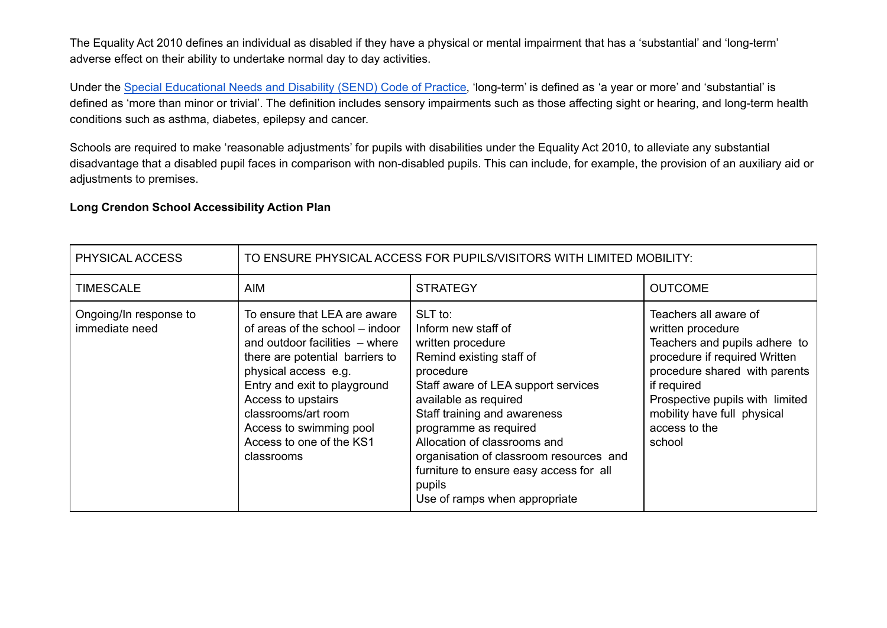The Equality Act 2010 defines an individual as disabled if they have a physical or mental impairment that has a 'substantial' and 'long-term' adverse effect on their ability to undertake normal day to day activities.

Under the Special [Educational](https://www.gov.uk/government/publications/send-code-of-practice-0-to-25) Needs and Disability (SEND) Code of Practice, 'long-term' is defined as 'a year or more' and 'substantial' is defined as 'more than minor or trivial'. The definition includes sensory impairments such as those affecting sight or hearing, and long-term health conditions such as asthma, diabetes, epilepsy and cancer.

Schools are required to make 'reasonable adjustments' for pupils with disabilities under the Equality Act 2010, to alleviate any substantial disadvantage that a disabled pupil faces in comparison with non-disabled pupils. This can include, for example, the provision of an auxiliary aid or adjustments to premises.

#### **Long Crendon School Accessibility Action Plan**

| PHYSICAL ACCESS                          | TO ENSURE PHYSICAL ACCESS FOR PUPILS/VISITORS WITH LIMITED MOBILITY:                                                                                                                                                                                                                                           |                                                                                                                                                                                                                                                                                                                                                                                        |                                                                                                                                                                                                                                                           |
|------------------------------------------|----------------------------------------------------------------------------------------------------------------------------------------------------------------------------------------------------------------------------------------------------------------------------------------------------------------|----------------------------------------------------------------------------------------------------------------------------------------------------------------------------------------------------------------------------------------------------------------------------------------------------------------------------------------------------------------------------------------|-----------------------------------------------------------------------------------------------------------------------------------------------------------------------------------------------------------------------------------------------------------|
| <b>TIMESCALE</b>                         | AIM                                                                                                                                                                                                                                                                                                            | <b>STRATEGY</b>                                                                                                                                                                                                                                                                                                                                                                        | <b>OUTCOME</b>                                                                                                                                                                                                                                            |
| Ongoing/In response to<br>immediate need | To ensure that LEA are aware<br>of areas of the school – indoor<br>and outdoor facilities – where<br>there are potential barriers to<br>physical access e.g.<br>Entry and exit to playground<br>Access to upstairs<br>classrooms/art room<br>Access to swimming pool<br>Access to one of the KS1<br>classrooms | SLT to:<br>Inform new staff of<br>written procedure<br>Remind existing staff of<br>procedure<br>Staff aware of LEA support services<br>available as required<br>Staff training and awareness<br>programme as required<br>Allocation of classrooms and<br>organisation of classroom resources and<br>furniture to ensure easy access for all<br>pupils<br>Use of ramps when appropriate | Teachers all aware of<br>written procedure<br>Teachers and pupils adhere to<br>procedure if required Written<br>procedure shared with parents<br>if required<br>Prospective pupils with limited<br>mobility have full physical<br>access to the<br>school |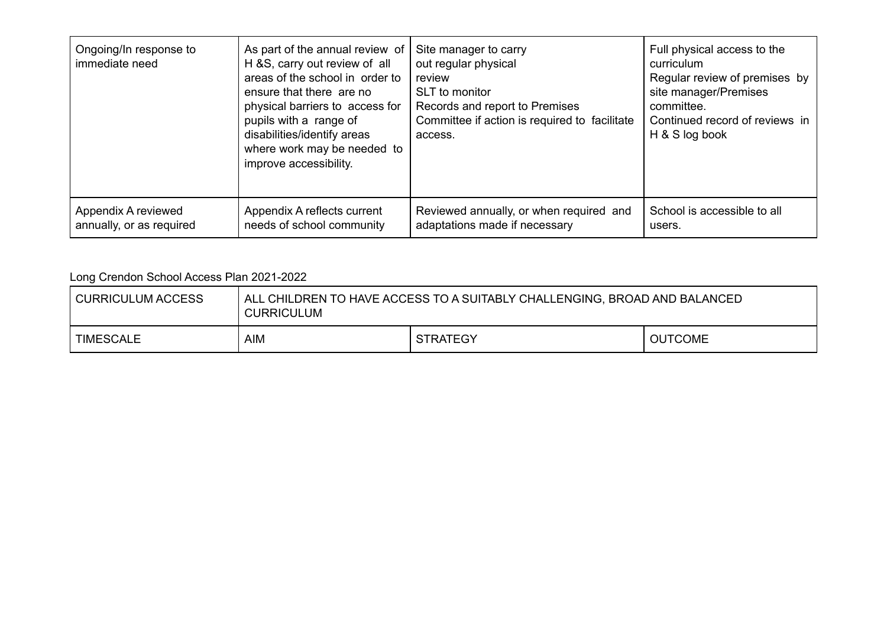| Ongoing/In response to<br>immediate need | As part of the annual review of<br>H &S, carry out review of all<br>areas of the school in order to<br>ensure that there are no<br>physical barriers to access for<br>pupils with a range of<br>disabilities/identify areas<br>where work may be needed to<br>improve accessibility. | Site manager to carry<br>out regular physical<br>review<br>SLT to monitor<br>Records and report to Premises<br>Committee if action is required to facilitate<br>access. | Full physical access to the<br>curriculum<br>Regular review of premises by<br>site manager/Premises<br>committee.<br>Continued record of reviews in<br>H & S log book |
|------------------------------------------|--------------------------------------------------------------------------------------------------------------------------------------------------------------------------------------------------------------------------------------------------------------------------------------|-------------------------------------------------------------------------------------------------------------------------------------------------------------------------|-----------------------------------------------------------------------------------------------------------------------------------------------------------------------|
| Appendix A reviewed                      | Appendix A reflects current                                                                                                                                                                                                                                                          | Reviewed annually, or when required and                                                                                                                                 | School is accessible to all                                                                                                                                           |
| annually, or as required                 | needs of school community                                                                                                                                                                                                                                                            | adaptations made if necessary                                                                                                                                           | users.                                                                                                                                                                |

# Long Crendon School Access Plan 2021-2022

| CURRICULUM ACCESS | ALL CHILDREN TO HAVE ACCESS TO A SUITABLY CHALLENGING, BROAD AND BALANCED<br><b>CURRICULUM</b> |                 |                |
|-------------------|------------------------------------------------------------------------------------------------|-----------------|----------------|
| TIMESCALE         | AIM                                                                                            | <b>STRATEGY</b> | <b>OUTCOME</b> |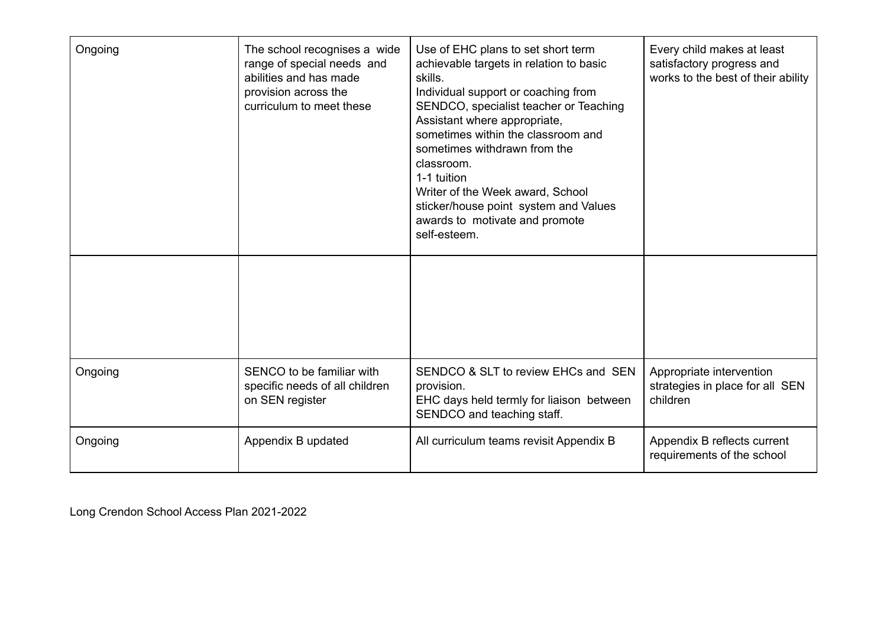| Ongoing | The school recognises a wide<br>range of special needs and<br>abilities and has made<br>provision across the<br>curriculum to meet these | Use of EHC plans to set short term<br>achievable targets in relation to basic<br>skills.<br>Individual support or coaching from<br>SENDCO, specialist teacher or Teaching<br>Assistant where appropriate,<br>sometimes within the classroom and<br>sometimes withdrawn from the<br>classroom.<br>1-1 tuition<br>Writer of the Week award, School<br>sticker/house point system and Values<br>awards to motivate and promote<br>self-esteem. | Every child makes at least<br>satisfactory progress and<br>works to the best of their ability |
|---------|------------------------------------------------------------------------------------------------------------------------------------------|---------------------------------------------------------------------------------------------------------------------------------------------------------------------------------------------------------------------------------------------------------------------------------------------------------------------------------------------------------------------------------------------------------------------------------------------|-----------------------------------------------------------------------------------------------|
|         |                                                                                                                                          |                                                                                                                                                                                                                                                                                                                                                                                                                                             |                                                                                               |
| Ongoing | SENCO to be familiar with<br>specific needs of all children<br>on SEN register                                                           | SENDCO & SLT to review EHCs and SEN<br>provision.<br>EHC days held termly for liaison between<br>SENDCO and teaching staff.                                                                                                                                                                                                                                                                                                                 | Appropriate intervention<br>strategies in place for all SEN<br>children                       |
| Ongoing | Appendix B updated                                                                                                                       | All curriculum teams revisit Appendix B                                                                                                                                                                                                                                                                                                                                                                                                     | Appendix B reflects current<br>requirements of the school                                     |

Long Crendon School Access Plan 2021-2022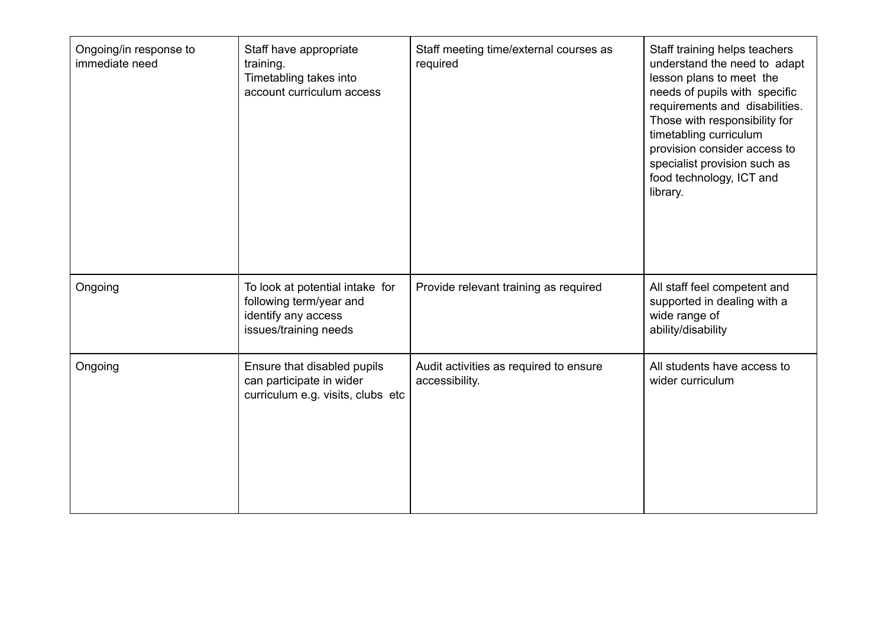| Ongoing/in response to<br>immediate need | Staff have appropriate<br>training.<br>Timetabling takes into<br>account curriculum access                 | Staff meeting time/external courses as<br>required       | Staff training helps teachers<br>understand the need to adapt<br>lesson plans to meet the<br>needs of pupils with specific<br>requirements and disabilities.<br>Those with responsibility for<br>timetabling curriculum<br>provision consider access to<br>specialist provision such as<br>food technology, ICT and<br>library. |
|------------------------------------------|------------------------------------------------------------------------------------------------------------|----------------------------------------------------------|---------------------------------------------------------------------------------------------------------------------------------------------------------------------------------------------------------------------------------------------------------------------------------------------------------------------------------|
| Ongoing                                  | To look at potential intake for<br>following term/year and<br>identify any access<br>issues/training needs | Provide relevant training as required                    | All staff feel competent and<br>supported in dealing with a<br>wide range of<br>ability/disability                                                                                                                                                                                                                              |
| Ongoing                                  | Ensure that disabled pupils<br>can participate in wider<br>curriculum e.g. visits, clubs etc               | Audit activities as required to ensure<br>accessibility. | All students have access to<br>wider curriculum                                                                                                                                                                                                                                                                                 |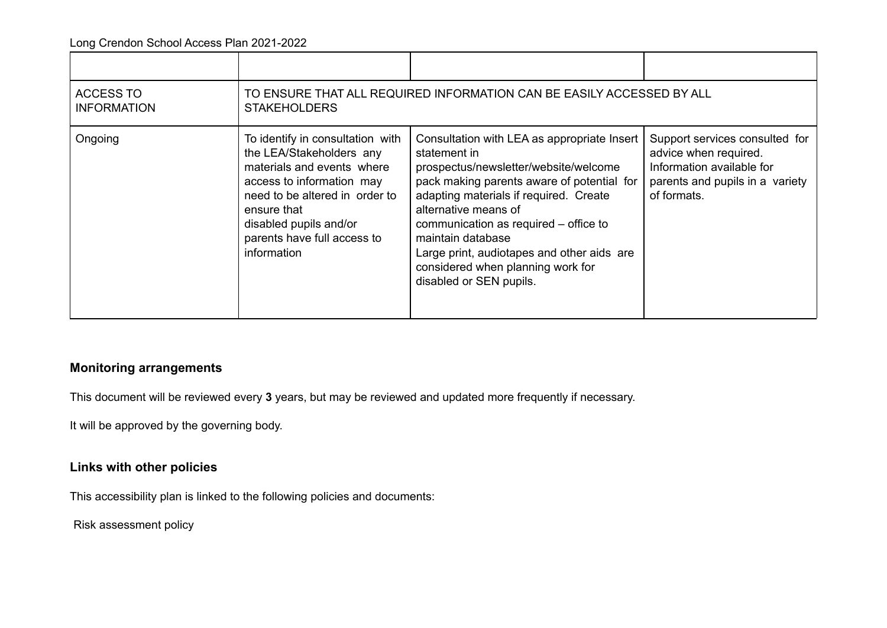| <b>ACCESS TO</b><br><b>INFORMATION</b> | TO ENSURE THAT ALL REQUIRED INFORMATION CAN BE EASILY ACCESSED BY ALL<br><b>STAKEHOLDERS</b>                                                                                                                                                     |                                                                                                                                                                                                                                                                                                                                                                                                  |                                                                                                                                        |
|----------------------------------------|--------------------------------------------------------------------------------------------------------------------------------------------------------------------------------------------------------------------------------------------------|--------------------------------------------------------------------------------------------------------------------------------------------------------------------------------------------------------------------------------------------------------------------------------------------------------------------------------------------------------------------------------------------------|----------------------------------------------------------------------------------------------------------------------------------------|
| Ongoing                                | To identify in consultation with<br>the LEA/Stakeholders any<br>materials and events where<br>access to information may<br>need to be altered in order to<br>ensure that<br>disabled pupils and/or<br>parents have full access to<br>information | Consultation with LEA as appropriate Insert<br>statement in<br>prospectus/newsletter/website/welcome<br>pack making parents aware of potential for<br>adapting materials if required. Create<br>alternative means of<br>communication as required – office to<br>maintain database<br>Large print, audiotapes and other aids are<br>considered when planning work for<br>disabled or SEN pupils. | Support services consulted for<br>advice when required.<br>Information available for<br>parents and pupils in a variety<br>of formats. |

## **Monitoring arrangements**

This document will be reviewed every **3** years, but may be reviewed and updated more frequently if necessary.

It will be approved by the governing body.

## **Links with other policies**

This accessibility plan is linked to the following policies and documents:

Risk assessment policy